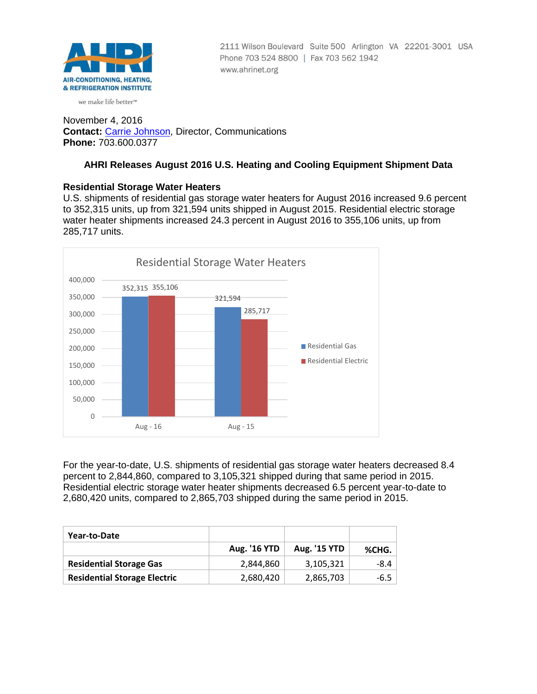

2111 Wilson Boulevard Suite 500 Arlington VA 22201-3001 USA Phone 703 524 8800 | Fax 703 562 1942 www.ahrinet.org

#### we make life better™

November 4, 2016 **Contact:** [Carrie Johnson,](mailto:cjohnson@ahrinet.org) Director, Communications **Phone:** 703.600.0377

# **AHRI Releases August 2016 U.S. Heating and Cooling Equipment Shipment Data**

## **Residential Storage Water Heaters**

U.S. shipments of residential gas storage water heaters for August 2016 increased 9.6 percent to 352,315 units, up from 321,594 units shipped in August 2015. Residential electric storage water heater shipments increased 24.3 percent in August 2016 to 355,106 units, up from 285,717 units.



For the year-to-date, U.S. shipments of residential gas storage water heaters decreased 8.4 percent to 2,844,860, compared to 3,105,321 shipped during that same period in 2015. Residential electric storage water heater shipments decreased 6.5 percent year-to-date to 2,680,420 units, compared to 2,865,703 shipped during the same period in 2015.

| Year-to-Date                        |                     |                     |        |
|-------------------------------------|---------------------|---------------------|--------|
|                                     | <b>Aug. '16 YTD</b> | <b>Aug. '15 YTD</b> | %CHG.  |
| <b>Residential Storage Gas</b>      | 2.844.860           | 3,105,321           | -8.4   |
| <b>Residential Storage Electric</b> | 2,680,420           | 2,865,703           | $-6.5$ |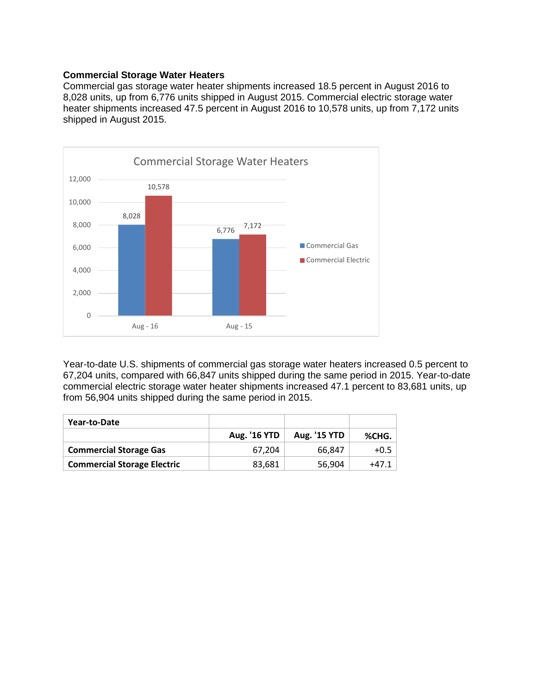### **Commercial Storage Water Heaters**

Commercial gas storage water heater shipments increased 18.5 percent in August 2016 to 8,028 units, up from 6,776 units shipped in August 2015. Commercial electric storage water heater shipments increased 47.5 percent in August 2016 to 10,578 units, up from 7,172 units shipped in August 2015.



Year-to-date U.S. shipments of commercial gas storage water heaters increased 0.5 percent to 67,204 units, compared with 66,847 units shipped during the same period in 2015. Year-to-date commercial electric storage water heater shipments increased 47.1 percent to 83,681 units, up from 56,904 units shipped during the same period in 2015.

| Year-to-Date                       |                     |                     |        |
|------------------------------------|---------------------|---------------------|--------|
|                                    | <b>Aug. '16 YTD</b> | <b>Aug. '15 YTD</b> | %CHG.  |
| <b>Commercial Storage Gas</b>      | 67.204              | 66.847              | $+0.5$ |
| <b>Commercial Storage Electric</b> | 83,681              | 56,904              | +47.1  |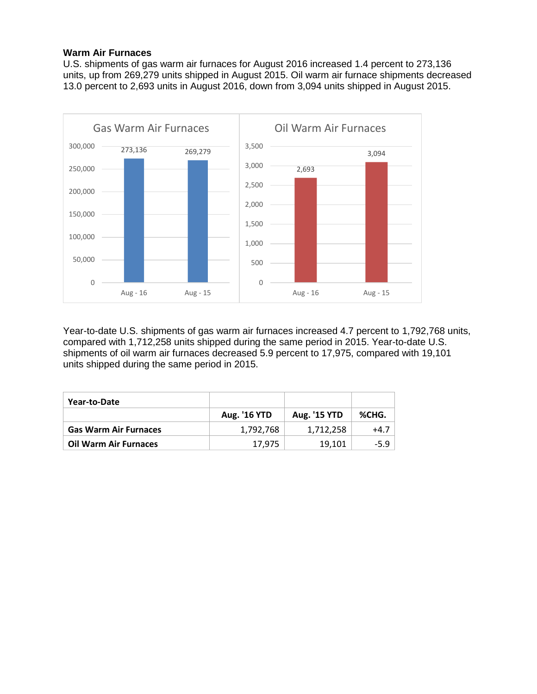### **Warm Air Furnaces**

U.S. shipments of gas warm air furnaces for August 2016 increased 1.4 percent to 273,136 units, up from 269,279 units shipped in August 2015. Oil warm air furnace shipments decreased 13.0 percent to 2,693 units in August 2016, down from 3,094 units shipped in August 2015.



Year-to-date U.S. shipments of gas warm air furnaces increased 4.7 percent to 1,792,768 units, compared with 1,712,258 units shipped during the same period in 2015. Year-to-date U.S. shipments of oil warm air furnaces decreased 5.9 percent to 17,975, compared with 19,101 units shipped during the same period in 2015.

| Year-to-Date                 |                     |                     |        |
|------------------------------|---------------------|---------------------|--------|
|                              | <b>Aug. '16 YTD</b> | <b>Aug. '15 YTD</b> | %CHG.  |
| <b>Gas Warm Air Furnaces</b> | 1,792,768           | 1,712,258           | $+4.7$ |
| <b>Oil Warm Air Furnaces</b> | 17.975              | 19.101              | $-5.9$ |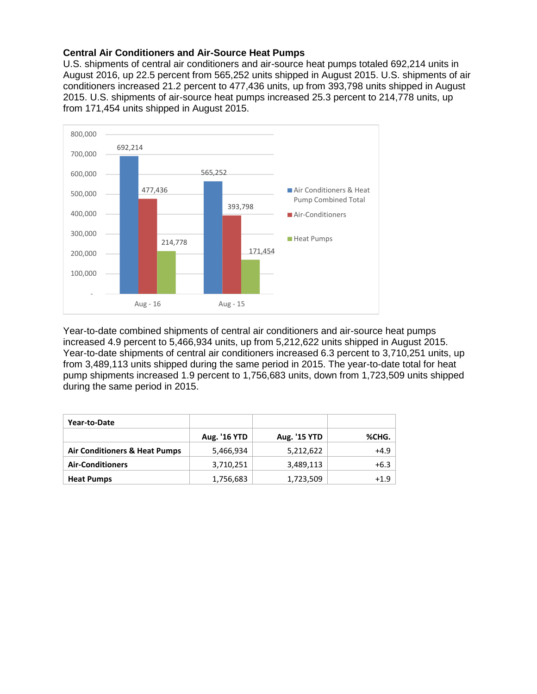# **Central Air Conditioners and Air-Source Heat Pumps**

U.S. shipments of central air conditioners and air-source heat pumps totaled 692,214 units in August 2016, up 22.5 percent from 565,252 units shipped in August 2015. U.S. shipments of air conditioners increased 21.2 percent to 477,436 units, up from 393,798 units shipped in August 2015. U.S. shipments of air-source heat pumps increased 25.3 percent to 214,778 units, up from 171,454 units shipped in August 2015.



Year-to-date combined shipments of central air conditioners and air-source heat pumps increased 4.9 percent to 5,466,934 units, up from 5,212,622 units shipped in August 2015. Year-to-date shipments of central air conditioners increased 6.3 percent to 3,710,251 units, up from 3,489,113 units shipped during the same period in 2015. The year-to-date total for heat pump shipments increased 1.9 percent to 1,756,683 units, down from 1,723,509 units shipped during the same period in 2015.

| Year-to-Date                             |                     |                     |        |
|------------------------------------------|---------------------|---------------------|--------|
|                                          | <b>Aug. '16 YTD</b> | <b>Aug. '15 YTD</b> | %CHG.  |
| <b>Air Conditioners &amp; Heat Pumps</b> | 5,466,934           | 5,212,622           | $+4.9$ |
| <b>Air-Conditioners</b>                  | 3,710,251           | 3,489,113           | $+6.3$ |
| <b>Heat Pumps</b>                        | 1,756,683           | 1,723,509           | $+1.9$ |